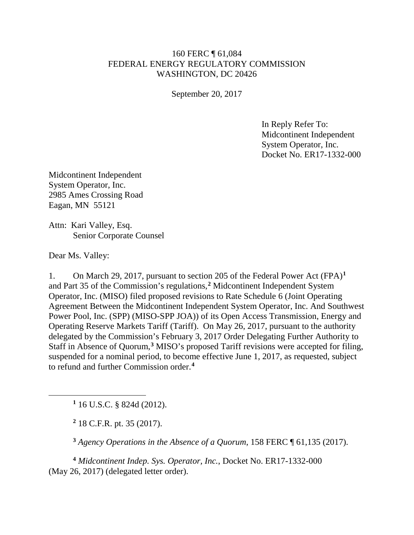## 160 FERC ¶ 61,084 FEDERAL ENERGY REGULATORY COMMISSION WASHINGTON, DC 20426

September 20, 2017

In Reply Refer To: Midcontinent Independent System Operator, Inc. Docket No. ER17-1332-000

Midcontinent Independent System Operator, Inc. 2985 Ames Crossing Road Eagan, MN 55121

Attn: Kari Valley, Esq. Senior Corporate Counsel

Dear Ms. Valley:

<span id="page-0-1"></span><span id="page-0-0"></span> $\overline{a}$ 

1. On March 29, 2017, pursuant to section 205 of the Federal Power Act (FPA)**[1](#page-0-0)** and Part 35 of the Commission's regulations,**[2](#page-0-1)** Midcontinent Independent System Operator, Inc. (MISO) filed proposed revisions to Rate Schedule 6 (Joint Operating Agreement Between the Midcontinent Independent System Operator, Inc. And Southwest Power Pool, Inc. (SPP) (MISO-SPP JOA)) of its Open Access Transmission, Energy and Operating Reserve Markets Tariff (Tariff). On May 26, 2017, pursuant to the authority delegated by the Commission's February 3, 2017 Order Delegating Further Authority to Staff in Absence of Quorum,**[3](#page-0-2)** MISO's proposed Tariff revisions were accepted for filing, suspended for a nominal period, to become effective June 1, 2017, as requested, subject to refund and further Commission order.**[4](#page-0-3)**

**<sup>1</sup>** 16 U.S.C. § 824d (2012).

**<sup>2</sup>** 18 C.F.R. pt. 35 (2017).

**<sup>3</sup>** *Agency Operations in the Absence of a Quorum*, 158 FERC ¶ 61,135 (2017).

<span id="page-0-3"></span><span id="page-0-2"></span>**<sup>4</sup>** *Midcontinent Indep. Sys. Operator, Inc.*, Docket No. ER17-1332-000 (May 26, 2017) (delegated letter order).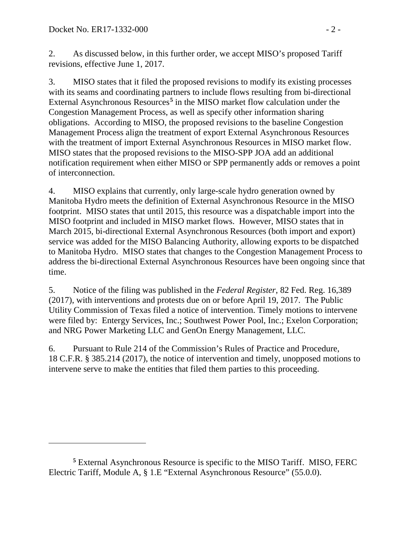$\overline{a}$ 

2. As discussed below, in this further order, we accept MISO's proposed Tariff revisions, effective June 1, 2017.

3. MISO states that it filed the proposed revisions to modify its existing processes with its seams and coordinating partners to include flows resulting from bi-directional External Asynchronous Resources**[5](#page-1-0)** in the MISO market flow calculation under the Congestion Management Process, as well as specify other information sharing obligations. According to MISO, the proposed revisions to the baseline Congestion Management Process align the treatment of export External Asynchronous Resources with the treatment of import External Asynchronous Resources in MISO market flow. MISO states that the proposed revisions to the MISO-SPP JOA add an additional notification requirement when either MISO or SPP permanently adds or removes a point of interconnection.

4. MISO explains that currently, only large-scale hydro generation owned by Manitoba Hydro meets the definition of External Asynchronous Resource in the MISO footprint. MISO states that until 2015, this resource was a dispatchable import into the MISO footprint and included in MISO market flows. However, MISO states that in March 2015, bi-directional External Asynchronous Resources (both import and export) service was added for the MISO Balancing Authority, allowing exports to be dispatched to Manitoba Hydro. MISO states that changes to the Congestion Management Process to address the bi-directional External Asynchronous Resources have been ongoing since that time.

5. Notice of the filing was published in the *Federal Register*, 82 Fed. Reg. 16,389 (2017), with interventions and protests due on or before April 19, 2017. The Public Utility Commission of Texas filed a notice of intervention. Timely motions to intervene were filed by: Entergy Services, Inc.; Southwest Power Pool, Inc.; Exelon Corporation; and NRG Power Marketing LLC and GenOn Energy Management, LLC.

6. Pursuant to Rule 214 of the Commission's Rules of Practice and Procedure, 18 C.F.R. § 385.214 (2017), the notice of intervention and timely, unopposed motions to intervene serve to make the entities that filed them parties to this proceeding.

<span id="page-1-0"></span>**<sup>5</sup>** External Asynchronous Resource is specific to the MISO Tariff. MISO, FERC Electric Tariff, Module A, § 1.E "External Asynchronous Resource" (55.0.0).